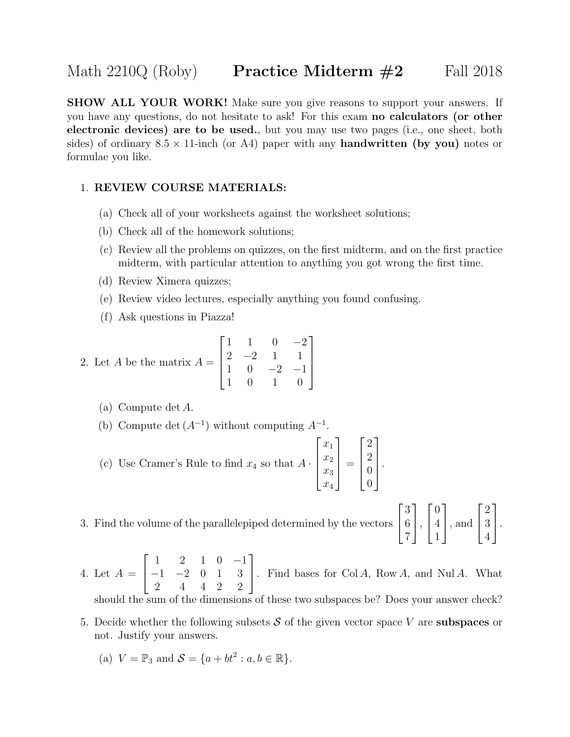**SHOW ALL YOUR WORK!** Make sure you give reasons to support your answers. If you have any questions, do not hesitate to ask! For this exam no calculators (or other electronic devices) are to be used., but you may use two pages (i.e., one sheet, both sides) of ordinary  $8.5 \times 11$ -inch (or A4) paper with any **handwritten (by you)** notes or formulae you like.

## 1. REVIEW COURSE MATERIALS:

- (a) Check all of your worksheets against the worksheet solutions;
- (b) Check all of the homework solutions;
- (c) Review all the problems on quizzes, on the first midterm, and on the first practice midterm, with particular attention to anything you got wrong the first time.
- (d) Review Ximera quizzes;
- (e) Review video lectures, especially anything you found confusing.
- (f) Ask questions in Piazza!

2. Let *A* be the matrix 
$$
A = \begin{bmatrix} 1 & 1 & 0 & -2 \\ 2 & -2 & 1 & 1 \\ 1 & 0 & -2 & -1 \\ 1 & 0 & 1 & 0 \end{bmatrix}
$$

- (a) Compute det A.
- (b) Compute det  $(A^{-1})$  without computing  $A^{-1}$ .
- (c) Use Cramer's Rule to find  $x_4$  so that  $A \cdot$  $\sqrt{ }$  $\begin{matrix} \phantom{-} \end{matrix}$  $\overline{x}_1$  $\overline{x_2}$  $\overline{x_3}$  $\overline{x_4}$ 1  $\begin{matrix} \phantom{-} \end{matrix}$ =  $\sqrt{ }$  $\Bigg\}$ 2 2 0  $\overline{0}$ 1  $\begin{matrix} \phantom{-} \end{matrix}$ .
- 3. Find the volume of the parallelepiped determined by the vectors  $\sqrt{ }$  $\overline{1}$ 3 6 7 1  $\vert$ ,  $\sqrt{ }$  $\overline{1}$ 0 4 1 1 , and  $\sqrt{ }$  $\overline{1}$ 2 3 4 1  $\vert \cdot$

4. Let  $A =$  $\sqrt{ }$  $\overline{1}$ 1 2 1 0 −1 −1 −2 0 1 3 2 4 4 2 2 1 . Find bases for  $Col A$ , Row A, and Nul A. What should the sum of the dimensions of these two subspaces be? Does your answer check?

5. Decide whether the following subsets  $S$  of the given vector space V are **subspaces** or not. Justify your answers.

(a) 
$$
V = \mathbb{P}_3
$$
 and  $\mathcal{S} = \{a + bt^2 : a, b \in \mathbb{R}\}.$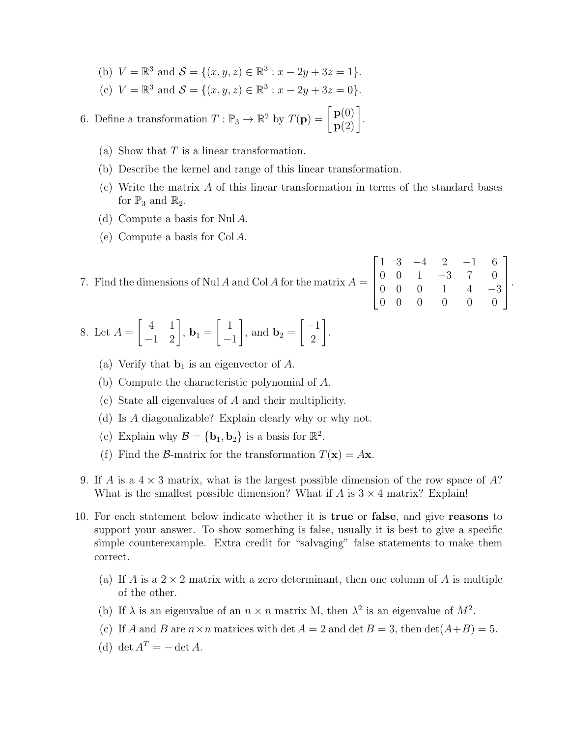- (b)  $V = \mathbb{R}^3$  and  $S = \{(x, y, z) \in \mathbb{R}^3 : x 2y + 3z = 1\}.$
- (c)  $V = \mathbb{R}^3$  and  $S = \{(x, y, z) \in \mathbb{R}^3 : x 2y + 3z = 0\}.$

6. Define a transformation  $T : \mathbb{P}_3 \to \mathbb{R}^2$  by  $T(\mathbf{p}) = \begin{bmatrix} \mathbf{p}(0) \\ \mathbf{p}(2) \end{bmatrix}$ .

- (a) Show that  $T$  is a linear transformation.
- (b) Describe the kernel and range of this linear transformation.
- (c) Write the matrix A of this linear transformation in terms of the standard bases for  $\mathbb{P}_3$  and  $\mathbb{R}_2$ .
- (d) Compute a basis for Nul A.
- (e) Compute a basis for Col A.

7. Find the dimensions of Nul A and Col A for the matrix  $A =$  $\sqrt{ }$  $\overline{\phantom{a}}$ 1 3 −4 2 −1 6 0 0 1 −3 7 0 0 0 0 1 4 −3 0 0 0 0 0 0 1  $\parallel$ .

8. Let 
$$
A = \begin{bmatrix} 4 & 1 \\ -1 & 2 \end{bmatrix}
$$
,  $\mathbf{b}_1 = \begin{bmatrix} 1 \\ -1 \end{bmatrix}$ , and  $\mathbf{b}_2 = \begin{bmatrix} -1 \\ 2 \end{bmatrix}$ .

- (a) Verify that  $\mathbf{b}_1$  is an eigenvector of A.
- (b) Compute the characteristic polynomial of A.
- (c) State all eigenvalues of A and their multiplicity.
- (d) Is A diagonalizable? Explain clearly why or why not.
- (e) Explain why  $\mathcal{B} = {\mathbf{b}_1, \mathbf{b}_2}$  is a basis for  $\mathbb{R}^2$ .
- (f) Find the B-matrix for the transformation  $T(\mathbf{x}) = A\mathbf{x}$ .
- 9. If A is a  $4 \times 3$  matrix, what is the largest possible dimension of the row space of A? What is the smallest possible dimension? What if A is  $3 \times 4$  matrix? Explain!
- 10. For each statement below indicate whether it is true or false, and give reasons to support your answer. To show something is false, usually it is best to give a specific simple counterexample. Extra credit for "salvaging" false statements to make them correct.
	- (a) If A is a  $2 \times 2$  matrix with a zero determinant, then one column of A is multiple of the other.
	- (b) If  $\lambda$  is an eigenvalue of an  $n \times n$  matrix M, then  $\lambda^2$  is an eigenvalue of  $M^2$ .
	- (c) If A and B are  $n \times n$  matrices with det  $A = 2$  and det  $B = 3$ , then  $\det(A+B) = 5$ .
	- (d) det  $A^T = \det A$ .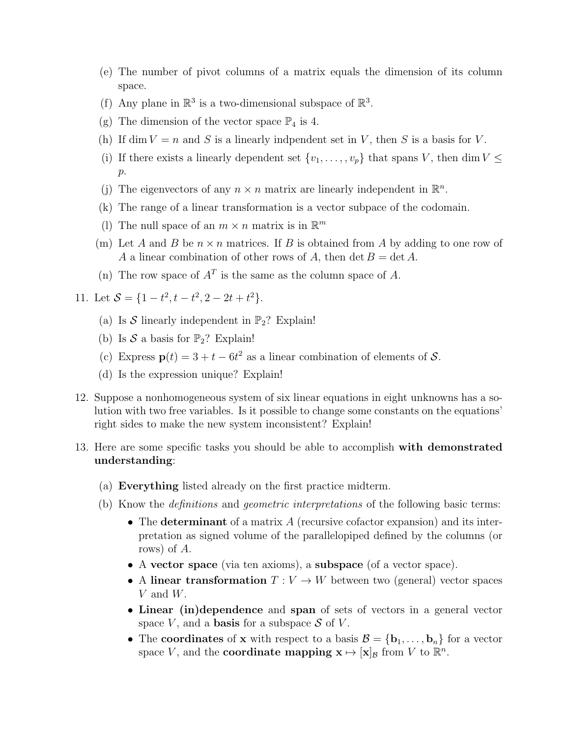- (e) The number of pivot columns of a matrix equals the dimension of its column space.
- (f) Any plane in  $\mathbb{R}^3$  is a two-dimensional subspace of  $\mathbb{R}^3$ .
- (g) The dimension of the vector space  $\mathbb{P}_4$  is 4.
- (h) If dim  $V = n$  and S is a linearly indpendent set in V, then S is a basis for V.
- (i) If there exists a linearly dependent set  $\{v_1, \ldots, v_p\}$  that spans V, then dim  $V \leq$  $p$ .
- (j) The eigenvectors of any  $n \times n$  matrix are linearly independent in  $\mathbb{R}^n$ .
- (k) The range of a linear transformation is a vector subpace of the codomain.
- (1) The null space of an  $m \times n$  matrix is in  $\mathbb{R}^m$
- (m) Let A and B be  $n \times n$  matrices. If B is obtained from A by adding to one row of A a linear combination of other rows of A, then det  $B = \det A$ .
- (n) The row space of  $A<sup>T</sup>$  is the same as the column space of A.
- 11. Let  $S = \{1 t^2, t t^2, 2 2t + t^2\}.$ 
	- (a) Is S linearly independent in  $\mathbb{P}_2$ ? Explain!
	- (b) Is  $S$  a basis for  $\mathbb{P}_2$ ? Explain!
	- (c) Express  $\mathbf{p}(t) = 3 + t 6t^2$  as a linear combination of elements of S.
	- (d) Is the expression unique? Explain!
- 12. Suppose a nonhomogeneous system of six linear equations in eight unknowns has a solution with two free variables. Is it possible to change some constants on the equations' right sides to make the new system inconsistent? Explain!
- 13. Here are some specific tasks you should be able to accomplish with demonstrated understanding:
	- (a) Everything listed already on the first practice midterm.
	- (b) Know the definitions and geometric interpretations of the following basic terms:
		- The determinant of a matrix A (recursive cofactor expansion) and its interpretation as signed volume of the parallelopiped defined by the columns (or rows) of A.
		- A vector space (via ten axioms), a subspace (of a vector space).
		- A linear transformation  $T: V \to W$  between two (general) vector spaces V and W.
		- Linear (in)dependence and span of sets of vectors in a general vector space V, and a **basis** for a subspace  $S$  of V.
		- The coordinates of x with respect to a basis  $\mathcal{B} = {\bf{b}_1, \ldots, b_n}$  for a vector space V, and the **coordinate mapping**  $\mathbf{x} \mapsto [\mathbf{x}]_B$  from V to  $\mathbb{R}^n$ .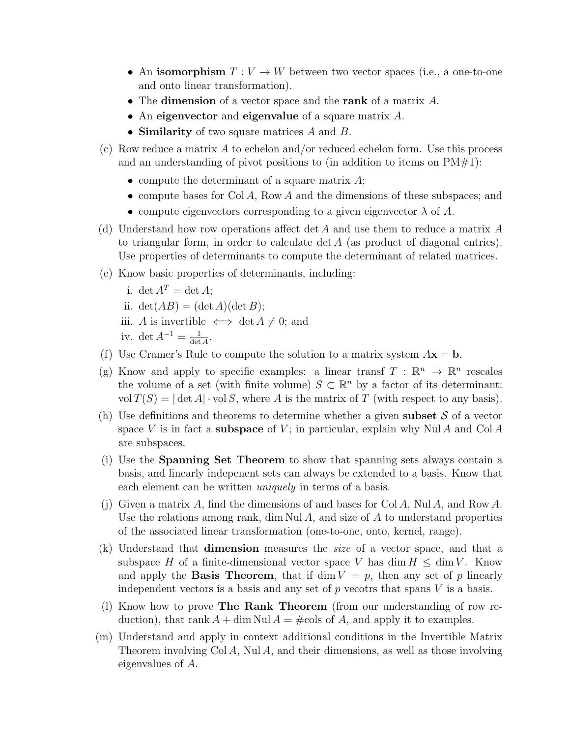- An isomorphism  $T: V \to W$  between two vector spaces (i.e., a one-to-one and onto linear transformation).
- The dimension of a vector space and the rank of a matrix  $A$ .
- An eigenvector and eigenvalue of a square matrix A.
- Similarity of two square matrices A and B.
- (c) Row reduce a matrix A to echelon and/or reduced echelon form. Use this process and an understanding of pivot positions to (in addition to items on  $PM#1$ ):
	- compute the determinant of a square matrix  $A$ ;
	- compute bases for Col A, Row A and the dimensions of these subspaces; and
	- compute eigenvectors corresponding to a given eigenvector  $\lambda$  of A.
- (d) Understand how row operations affect det A and use them to reduce a matrix  $A$ to triangular form, in order to calculate det A (as product of diagonal entries). Use properties of determinants to compute the determinant of related matrices.
- (e) Know basic properties of determinants, including:
	- i. det  $A^T = \det A$ ; ii.  $\det(AB) = (\det A)(\det B);$ iii. A is invertible  $\iff$  det  $A \neq 0$ ; and iv. det  $A^{-1} = \frac{1}{\det A}$  $\frac{1}{\det A}$ .
- (f) Use Cramer's Rule to compute the solution to a matrix system  $A\mathbf{x} = \mathbf{b}$ .
- (g) Know and apply to specific examples: a linear transf  $T : \mathbb{R}^n \to \mathbb{R}^n$  rescales the volume of a set (with finite volume)  $S \subset \mathbb{R}^n$  by a factor of its determinant: vol  $T(S) = |\det A| \cdot \text{vol } S$ , where A is the matrix of T (with respect to any basis).
- (h) Use definitions and theorems to determine whether a given **subset**  $S$  of a vector space V is in fact a **subspace** of V; in particular, explain why Nul A and Col A are subspaces.
- (i) Use the Spanning Set Theorem to show that spanning sets always contain a basis, and linearly indepenent sets can always be extended to a basis. Know that each element can be written *uniquely* in terms of a basis.
- (j) Given a matrix A, find the dimensions of and bases for Col A, Nul A, and Row A. Use the relations among rank, dim Nul  $\tilde{A}$ , and size of  $\tilde{A}$  to understand properties of the associated linear transformation (one-to-one, onto, kernel, range).
- (k) Understand that dimension measures the size of a vector space, and that a subspace H of a finite-dimensional vector space V has  $\dim H \leq \dim V$ . Know and apply the **Basis Theorem**, that if dim  $V = p$ , then any set of p linearly independent vectors is a basis and any set of  $p$  vecotrs that spans  $V$  is a basis.
- (l) Know how to prove The Rank Theorem (from our understanding of row reduction), that rank  $A + \dim \text{Nul } A = \text{\#cols of } A$ , and apply it to examples.
- (m) Understand and apply in context additional conditions in the Invertible Matrix Theorem involving  $Col A$ , Nul A, and their dimensions, as well as those involving eigenvalues of A.